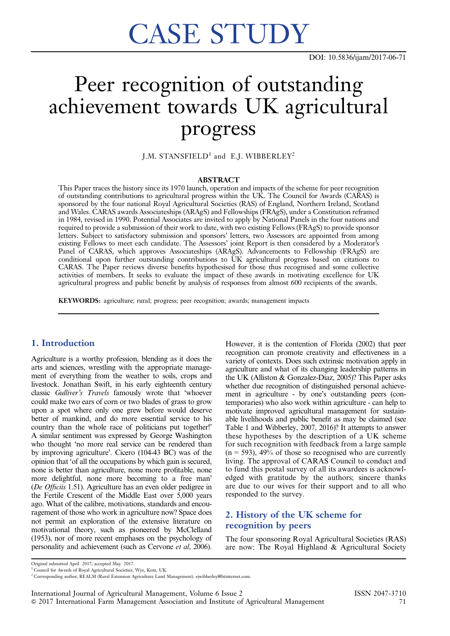# CASE STUDY

# Peer recognition of outstanding achievement towards UK agricultural progress

J.M. STANSFIELD<sup>1</sup> and E.J. WIBBERLEY<sup>2</sup>

### ABSTRACT

This Paper traces the history since its 1970 launch, operation and impacts of the scheme for peer recognition of outstanding contributions to agricultural progress within the UK. The Council for Awards (CARAS) is sponsored by the four national Royal Agricultural Societies (RAS) of England, Northern Ireland, Scotland and Wales. CARAS awards Associateships (ARAgS) and Fellowships (FRAgS), under a Constitution reframed in 1984, revised in 1990. Potential Associates are invited to apply by National Panels in the four nations and required to provide a submission of their work to date, with two existing Fellows (FRAgS) to provide sponsor letters. Subject to satisfactory submission and sponsors' letters, two Assessors are appointed from among existing Fellows to meet each candidate. The Assessors' joint Report is then considered by a Moderator's Panel of CARAS, which approves Associateships (ARAgS). Advancements to Fellowship (FRAgS) are conditional upon further outstanding contributions to UK agricultural progress based on citations to CARAS. The Paper reviews diverse benefits hypothesised for those thus recognised and some collective activities of members. It seeks to evaluate the impact of these awards in motivating excellence for UK agricultural progress and public benefit by analysis of responses from almost 600 recipients of the awards.

KEYWORDS: agriculture; rural; progress; peer recognition; awards; management impacts

# 1. Introduction

Agriculture is a worthy profession, blending as it does the arts and sciences, wrestling with the appropriate management of everything from the weather to soils, crops and livestock. Jonathan Swift, in his early eighteenth century classic Gulliver's Travels famously wrote that 'whoever could make two ears of corn or two blades of grass to grow upon a spot where only one grew before would deserve better of mankind, and do more essential service to his country than the whole race of politicians put together!' A similar sentiment was expressed by George Washington who thought 'no more real service can be rendered than by improving agriculture'. Cicero (104-43 BC) was of the opinion that 'of all the occupations by which gain is secured, none is better than agriculture, none more profitable, none more delightful, none more becoming to a free man' (De Officiis 1.51). Agriculture has an even older pedigree in the Fertile Crescent of the Middle East over 5,000 years ago. What of the calibre, motivations, standards and encouragement of those who work in agriculture now? Space does not permit an exploration of the extensive literature on motivational theory, such as pioneered by McClelland (1953), nor of more recent emphases on the psychology of personality and achievement (such as Cervone et al, 2006).

However, it is the contention of Florida (2002) that peer recognition can promote creativity and effectiveness in a variety of contexts. Does such extrinsic motivation apply in agriculture and what of its changing leadership patterns in the UK (Alliston & Gonzalez-Diaz, 2005)? This Paper asks whether due recognition of distinguished personal achievement in agriculture - by one's outstanding peers (contemporaries) who also work within agriculture - can help to motivate improved agricultural management for sustainable livelihoods and public benefit as may be claimed (see [Table 1](#page-1-0) and Wibberley, 2007, 2016)? It attempts to answer these hypotheses by the description of a UK scheme for such recognition with feedback from a large sample  $(n = 593)$ , 49% of those so recognised who are currently living. The approval of CARAS Council to conduct and to fund this postal survey of all its awardees is acknowledged with gratitude by the authors; sincere thanks are due to our wives for their support and to all who responded to the survey.

# 2. History of the UK scheme for recognition by peers

The four sponsoring Royal Agricultural Societies (RAS) are now: The Royal Highland & Agricultural Society

Original submitted April 2017; accepted May 2017.

<sup>&</sup>lt;sup>1</sup> Council for Awards of Royal Agricultural Societies, Wye, Kent, UK.

<sup>2</sup> Corresponding author, REALM (Rural Extension Agriculture Land Management). ejwibberley@btinternet.com.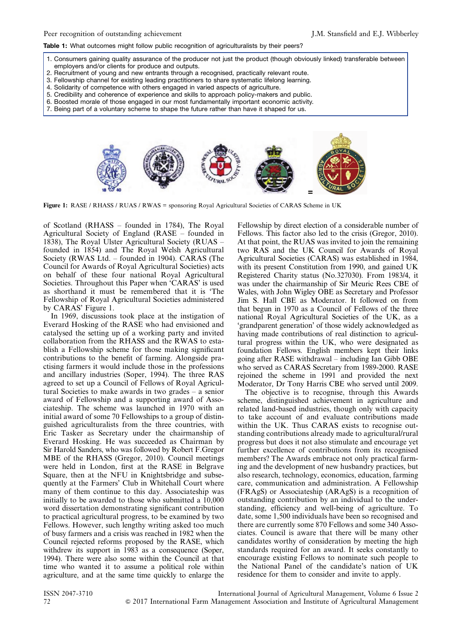#### <span id="page-1-0"></span>Table 1: What outcomes might follow public recognition of agriculturalists by their peers?

- 1. Consumers gaining quality assurance of the producer not just the product (though obviously linked) transferable between employers and/or clients for produce and outputs.
- 2. Recruitment of young and new entrants through a recognised, practically relevant route.
- 3. Fellowship channel for existing leading practitioners to share systematic lifelong learning.
- 4. Solidarity of competence with others engaged in varied aspects of agriculture.
- 5. Credibility and coherence of experience and skills to approach policy-makers and public.
- 6. Boosted morale of those engaged in our most fundamentally important economic activity.
- 7. Being part of a voluntary scheme to shape the future rather than have it shaped for us.



Figure 1: RASE / RHASS / RUAS / RWAS = sponsoring Royal Agricultural Societies of CARAS Scheme in UK

of Scotland (RHASS – founded in 1784), The Royal Agricultural Society of England (RASE – founded in 1838), The Royal Ulster Agricultural Society (RUAS – founded in 1854) and The Royal Welsh Agricultural Society (RWAS Ltd. – founded in 1904). CARAS (The Council for Awards of Royal Agricultural Societies) acts on behalf of these four national Royal Agricultural Societies. Throughout this Paper when 'CARAS' is used as shorthand it must be remembered that it is 'The Fellowship of Royal Agricultural Societies administered by CARAS' Figure 1.

In 1969, discussions took place at the instigation of Everard Hosking of the RASE who had envisioned and catalysed the setting up of a working party and invited collaboration from the RHASS and the RWAS to establish a Fellowship scheme for those making significant contributions to the benefit of farming. Alongside practising farmers it would include those in the professions and ancillary industries (Soper, 1994). The three RAS agreed to set up a Council of Fellows of Royal Agricultural Societies to make awards in two grades – a senior award of Fellowship and a supporting award of Associateship. The scheme was launched in 1970 with an initial award of some 70 Fellowships to a group of distinguished agriculturalists from the three countries, with Eric Tasker as Secretary under the chairmanship of Everard Hosking. He was succeeded as Chairman by Sir Harold Sanders, who was followed by Robert F.Gregor MBE of the RHASS (Gregor, 2010). Council meetings were held in London, first at the RASE in Belgrave Square, then at the NFU in Knightsbridge and subsequently at the Farmers' Club in Whitehall Court where many of them continue to this day. Associateship was initially to be awarded to those who submitted a 10,000 word dissertation demonstrating significant contribution to practical agricultural progress, to be examined by two Fellows. However, such lengthy writing asked too much of busy farmers and a crisis was reached in 1982 when the Council rejected reforms proposed by the RASE, which withdrew its support in 1983 as a consequence (Soper, 1994). There were also some within the Council at that time who wanted it to assume a political role within agriculture, and at the same time quickly to enlarge the Fellowship by direct election of a considerable number of Fellows. This factor also led to the crisis (Gregor, 2010). At that point, the RUAS was invited to join the remaining two RAS and the UK Council for Awards of Royal Agricultural Societies (CARAS) was established in 1984, with its present Constitution from 1990, and gained UK Registered Charity status (No.327030). From 1983/4, it was under the chairmanship of Sir Meuric Rees CBE of Wales, with John Wigley OBE as Secretary and Professor Jim S. Hall CBE as Moderator. It followed on from that begun in 1970 as a Council of Fellows of the three national Royal Agricultural Societies of the UK, as a 'grandparent generation' of those widely acknowledged as having made contributions of real distinction to agricultural progress within the UK, who were designated as foundation Fellows. English members kept their links going after RASE withdrawal – including Ian Gibb OBE who served as CARAS Secretary from 1989-2000. RASE rejoined the scheme in 1991 and provided the next Moderator, Dr Tony Harris CBE who served until 2009.

The objective is to recognise, through this Awards scheme, distinguished achievement in agriculture and related land-based industries, though only with capacity to take account of and evaluate contributions made within the UK. Thus CARAS exists to recognise outstanding contributions already made to agricultural/rural progress but does it not also stimulate and encourage yet further excellence of contributions from its recognised members? The Awards embrace not only practical farming and the development of new husbandry practices, but also research, technology, economics, education, farming care, communication and administration. A Fellowship (FRAgS) or Associateship (ARAgS) is a recognition of outstanding contribution by an individual to the understanding, efficiency and well-being of agriculture. To date, some 1,500 individuals have been so recognised and there are currently some 870 Fellows and some 340 Associates. Council is aware that there will be many other candidates worthy of consideration by meeting the high standards required for an award. It seeks constantly to encourage existing Fellows to nominate such people to the National Panel of the candidate's nation of UK residence for them to consider and invite to apply.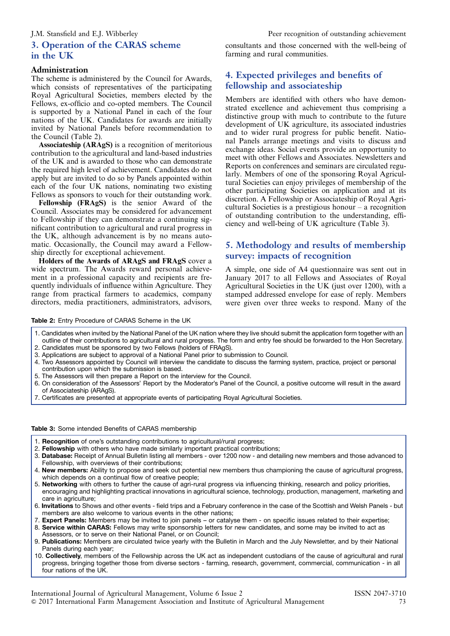# 3. Operation of the CARAS scheme in the UK

### Administration

The scheme is administered by the Council for Awards, which consists of representatives of the participating Royal Agricultural Societies, members elected by the Fellows, ex-officio and co-opted members. The Council is supported by a National Panel in each of the four nations of the UK. Candidates for awards are initially invited by National Panels before recommendation to the Council (Table 2).

Associateship (ARAgS) is a recognition of meritorious contribution to the agricultural and land-based industries of the UK and is awarded to those who can demonstrate the required high level of achievement. Candidates do not apply but are invited to do so by Panels appointed within each of the four UK nations, nominating two existing Fellows as sponsors to vouch for their outstanding work.

Fellowship (FRAgS) is the senior Award of the Council. Associates may be considered for advancement to Fellowship if they can demonstrate a continuing significant contribution to agricultural and rural progress in the UK, although advancement is by no means automatic. Occasionally, the Council may award a Fellowship directly for exceptional achievement.

Holders of the Awards of ARAgS and FRAgS cover a wide spectrum. The Awards reward personal achievement in a professional capacity and recipients are frequently individuals of influence within Agriculture. They range from practical farmers to academics, company directors, media practitioners, administrators, advisors,

consultants and those concerned with the well-being of farming and rural communities.

# 4. Expected privileges and benefits of fellowship and associateship

Members are identified with others who have demonstrated excellence and achievement thus comprising a distinctive group with much to contribute to the future development of UK agriculture, its associated industries and to wider rural progress for public benefit. National Panels arrange meetings and visits to discuss and exchange ideas. Social events provide an opportunity to meet with other Fellows and Associates. Newsletters and Reports on conferences and seminars are circulated regularly. Members of one of the sponsoring Royal Agricultural Societies can enjoy privileges of membership of the other participating Societies on application and at its discretion. A Fellowship or Associateship of Royal Agricultural Societies is a prestigious honour – a recognition of outstanding contribution to the understanding, efficiency and well-being of UK agriculture (Table 3).

# 5. Methodology and results of membership survey: impacts of recognition

A simple, one side of A4 questionnaire was sent out in January 2017 to all Fellows and Associates of Royal Agricultural Societies in the UK (just over 1200), with a stamped addressed envelope for ease of reply. Members were given over three weeks to respond. Many of the

Table 2: Entry Procedure of CARAS Scheme in the UK

- 1. Candidates when invited by the National Panel of the UK nation where they live should submit the application form together with an outline of their contributions to agricultural and rural progress. The form and entry fee should be forwarded to the Hon Secretary.
- 2. Candidates must be sponsored by two Fellows (holders of FRAgS). 3. Applications are subject to approval of a National Panel prior to submission to Council.
- 4. Two Assessors appointed by Council will interview the candidate to discuss the farming system, practice, project or personal contribution upon which the submission is based.
- 5. The Assessors will then prepare a Report on the interview for the Council.
- 6. On consideration of the Assessors' Report by the Moderator's Panel of the Council, a positive outcome will result in the award of Associateship (ARAgS).
- 7. Certificates are presented at appropriate events of participating Royal Agricultural Societies.

### Table 3: Some intended Benefits of CARAS membership

- 1. Recognition of one's outstanding contributions to agricultural/rural progress;
- 2. Fellowship with others who have made similarly important practical contributions;
- 3. Database: Receipt of Annual Bulletin listing all members over 1200 now and detailing new members and those advanced to Fellowship, with overviews of their contributions;
- 4. New members: Ability to propose and seek out potential new members thus championing the cause of agricultural progress, which depends on a continual flow of creative people;
- 5. Networking with others to further the cause of agri-rural progress via influencing thinking, research and policy priorities, encouraging and highlighting practical innovations in agricultural science, technology, production, management, marketing and care in agriculture;
- 6. Invitations to Shows and other events field trips and a February conference in the case of the Scottish and Welsh Panels but members are also welcome to various events in the other nations;
- 7. Expert Panels: Members may be invited to join panels or catalyse them on specific issues related to their expertise;
- 8. Service within CARAS: Fellows may write sponsorship letters for new candidates, and some may be invited to act as Assessors, or to serve on their National Panel, or on Council;
- 9. Publications: Members are circulated twice yearly with the Bulletin in March and the July Newsletter, and by their National Panels during each year;
- 10. Collectively, members of the Fellowship across the UK act as independent custodians of the cause of agricultural and rural progress, bringing together those from diverse sectors - farming, research, government, commercial, communication - in all four nations of the UK.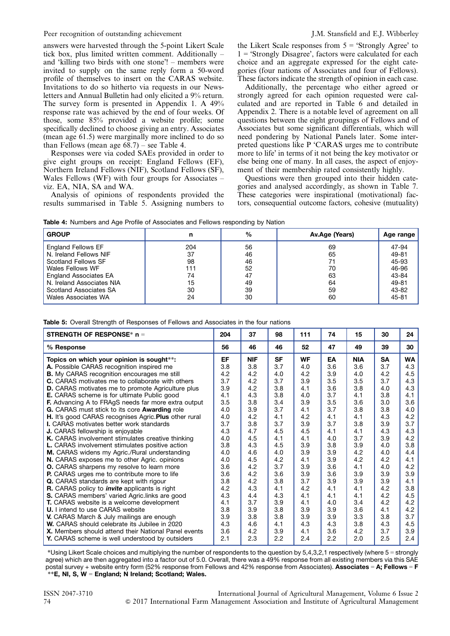answers were harvested through the 5-point Likert Scale tick box, plus limited written comment. Additionally – and 'killing two birds with one stone'! – members were invited to supply on the same reply form a 50-word profile of themselves to insert on the CARAS website. Invitations to do so hitherto via requests in our Newsletters and Annual Bulletin had only elicited a 9% return. The survey form is presented in Appendix 1. A 49% response rate was achieved by the end of four weeks. Of those, some 85% provided a website profile; some specifically declined to choose giving an entry. Associates (mean age 61.5) were marginally more inclined to do so than Fellows (mean age  $68.7$ ) – see Table 4.

Responses were via coded SAEs provided in order to give eight groups on receipt: England Fellows (EF), Northern Ireland Fellows (NIF), Scotland Fellows (SF), Wales Fellows (WF) with four groups for Associates – viz. EA, NIA, SA and WA.

Analysis of opinions of respondents provided the results summarised in Table 5. Assigning numbers to the Likert Scale responses from  $5 =$  'Strongly Agree' to 1 = 'Strongly Disagree', factors were calculated for each choice and an aggregate expressed for the eight categories (four nations of Associates and four of Fellows). These factors indicate the strength of opinion in each case.

Additionally, the percentage who either agreed or strongly agreed for each opinion requested were calculated and are reported in [Table 6](#page-4-0) and detailed in Appendix 2. There is a notable level of agreement on all questions between the eight groupings of Fellows and of Associates but some significant differentials, which will need pondering by National Panels later. Some interpreted questions like P 'CARAS urges me to contribute more to life' in terms of it not being the key motivator or else being one of many. In all cases, the aspect of enjoyment of their membership rated consistently highly.

Questions were then grouped into their hidden categories and analysed accordingly, as shown in [Table 7.](#page-4-0) These categories were inspirational (motivational) factors, consequential outcome factors, cohesive (mutuality)

| <b>Table 4:</b> Numbers and Age Profile of Associates and Fellows responding by Nation |  |
|----------------------------------------------------------------------------------------|--|
|----------------------------------------------------------------------------------------|--|

| <b>GROUP</b>                 | n   | $\%$ | Av.Age (Years) | Age range |
|------------------------------|-----|------|----------------|-----------|
| <b>England Fellows EF</b>    | 204 | 56   | 69             | 47-94     |
| N. Ireland Fellows NIF       | 37  | 46   | 65             | 49-81     |
| Scotland Fellows SF          | 98  | 46   |                | 45-93     |
| Wales Fellows WF             | 111 | 52   | 70             | 46-96     |
| <b>England Associates EA</b> | 74  | 47   | 63             | 43-84     |
| N. Ireland Associates NIA    | 15  | 49   | 64             | 49-81     |
| Scotland Associates SA       | 30  | 39   | 59             | 43-82     |
| <b>Wales Associates WA</b>   | 24  | 30   | 60             | 45-81     |

Table 5: Overall Strength of Responses of Fellows and Associates in the four nations

| <b>STRENGTH OF RESPONSE* n =</b>                            | 204 | 37         | 98        | 111       | 74  | 15         | 30        | 24        |
|-------------------------------------------------------------|-----|------------|-----------|-----------|-----|------------|-----------|-----------|
| % Response                                                  | 56  | 46         | 46        | 52        | 47  | 49         | 39        | 30        |
| Topics on which your opinion is sought**:                   | EF  | <b>NIF</b> | <b>SF</b> | <b>WF</b> | EA  | <b>NIA</b> | <b>SA</b> | <b>WA</b> |
| A. Possible CARAS recognition inspired me                   | 3.8 | 3.8        | 3.7       | 4.0       | 3.6 | 3.6        | 3.7       | 4.3       |
| <b>B.</b> My CARAS recognition encourages me still          | 4.2 | 4.2        | 4.0       | 4.2       | 3.9 | 4.0        | 4.2       | 4.5       |
| <b>C.</b> CARAS motivates me to collaborate with others     | 3.7 | 4.2        | 3.7       | 3.9       | 3.5 | 3.5        | 3.7       | 4.3       |
| D. CARAS motivates me to promote Agriculture plus           | 3.9 | 4.2        | 3.8       | 4.1       | 3.6 | 3.8        | 4.0       | 4.3       |
| <b>E.</b> CARAS scheme is for ultimate Public good          | 4.1 | 4.3        | 3.8       | 4.0       | 3.7 | 4.1        | 3.8       | 4.1       |
| <b>F.</b> Advancing A to FRAgS needs far more extra output  | 3.5 | 3.8        | 3.4       | 3.9       | 3.5 | 3.6        | 3.0       | 3.6       |
| G. CARAS must stick to its core <b>Awarding</b> role        | 4.0 | 3.9        | 3.7       | 4.1       | 3.7 | 3.8        | 3.8       | 4.0       |
| H. It's good CARAS recognises Agric. Plus other rural       | 4.0 | 4.2        | 4.1       | 4.2       | 4.1 | 4.1        | 4.3       | 4.2       |
| <b>I.</b> CARAS motivates better work standards             | 3.7 | 3.8        | 3.7       | 3.9       | 3.7 | 3.8        | 3.9       | 3.7       |
| <b>J.</b> CARAS fellowship is enjoyable                     | 4.3 | 4.7        | 4.5       | 4.5       | 4.1 | 4.1        | 4.3       | 4.3       |
| K. CARAS involvement stimulates creative thinking           | 4.0 | 4.5        | 4.1       | 4.1       | 4.0 | 3.7        | 3.9       | 4.2       |
| <b>L.</b> CARAS involvement stimulates positive action      | 3.8 | 4.3        | 4.5       | 3.9       | 3.8 | 3.9        | 4.0       | 3.8       |
| M. CARAS widens my Agric./Rural understanding               | 4.0 | 4.6        | 4.0       | 3.9       | 3.9 | 4.2        | 4.0       | 4.4       |
| N. CARAS exposes me to other Agric. opinions                | 4.0 | 4.5        | 4.2       | 4.1       | 3.9 | 4.2        | 4.2       | 4.1       |
| <b>O.</b> CARAS sharpens my resolve to learn more           | 3.6 | 4.2        | 3.7       | 3.9       | 3.6 | 4.1        | 4.0       | 4.2       |
| <b>P.</b> CARAS urges me to contribute more to life         | 3.6 | 4.2        | 3.6       | 3.9       | 3.6 | 3.9        | 3.9       | 3.9       |
| Q. CARAS standards are kept with rigour                     | 3.8 | 4.2        | 3.8       | 3.7       | 3.9 | 3.9        | 3.9       | 4.1       |
| <b>R.</b> CARAS policy to <i>invite</i> applicants is right | 4.2 | 4.3        | 4.1       | 4.2       | 4.1 | 4.1        | 4.2       | 3.8       |
| S. CARAS members' varied Agric.links are good               | 4.3 | 4.4        | 4.3       | 4.1       | 4.1 | 4.1        | 4.2       | 4.5       |
| <b>T.</b> CARAS website is a welcome development            | 4.1 | 3.7        | 3.9       | 4.1       | 4.0 | 3.4        | 4.2       | 4.2       |
| <b>U.</b> I intend to use CARAS website                     | 3.8 | 3.9        | 3.8       | 3.9       | 3.9 | 3.6        | 4.1       | 4.2       |
| V. CARAS March & July mailings are enough                   | 3.9 | 3.8        | 3.8       | 3.9       | 3.9 | 3.3        | 3.8       | 3.7       |
| W. CARAS should celebrate its Jubilee in 2020               | 4.3 | 4.6        | 4.1       | 4.3       | 4.3 | 3.8        | 4.3       | 4.5       |
| X. Members should attend their National Panel events        | 3.6 | 4.2        | 3.9       | 4.1       | 3.6 | 4.2        | 3.7       | 3.9       |
| <b>Y.</b> CARAS scheme is well understood by outsiders      | 2.1 | 2.3        | 2.2       | 2.4       | 2.2 | 2.0        | 2.5       | 2.4       |

\*Using Likert Scale choices and multiplying the number of respondents to the question by 5,4,3,2,1 respectively (where 5 = strongly agree) which are then aggregated into a factor out of 5.0. Overall, there was a 49% response from all existing members via this SAE postal survey + website entry form (52% response from Fellows and 42% response from Associates). Associates = A; Fellows = F \*\*E, NI, S, W = England; N Ireland; Scotland; Wales.

ISSN 2047-3710 International Journal of Agricultural Management, Volume 6 Issue 2 74 & 2017 International Farm Management Association and Institute of Agricultural Management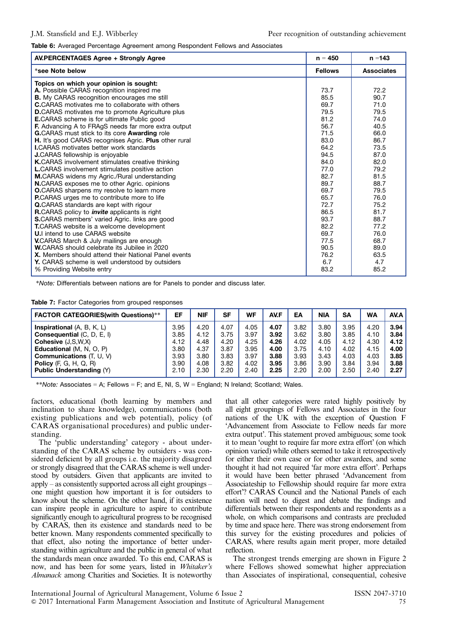<span id="page-4-0"></span>Table 6: Averaged Percentage Agreement among Respondent Fellows and Associates

| <b>AV.PERCENTAGES Agree + Strongly Agree</b>               | $n = 450$      | $n = 143$         |
|------------------------------------------------------------|----------------|-------------------|
| *see Note below                                            | <b>Fellows</b> | <b>Associates</b> |
| Topics on which your opinion is sought:                    |                |                   |
| A. Possible CARAS recognition inspired me                  | 73.7           | 72.2              |
| <b>B.</b> My CARAS recognition encourages me still         | 85.5           | 90.7              |
| <b>C.</b> CARAS motivates me to collaborate with others    | 69.7           | 71.0              |
| <b>D.CARAS</b> motivates me to promote Agriculture plus    | 79.5           | 79.5              |
| <b>E.CARAS</b> scheme is for ultimate Public good          | 81.2           | 74.0              |
| <b>F.</b> Advancing A to FRAgS needs far more extra output | 56.7           | 40.5              |
| G.CARAS must stick to its core Awarding role               | 71.5           | 66.0              |
| H. It's good CARAS recognises Agric. Plus other rural      | 83.0           | 86.7              |
| <b>I.CARAS</b> motivates better work standards             | 64.2           | 73.5              |
| <b>J.CARAS</b> fellowship is enjoyable                     | 94.5           | 87.0              |
| <b>K.CARAS</b> involvement stimulates creative thinking    | 84.0           | 82.0              |
| <b>L.CARAS</b> involvement stimulates positive action      | 77.0           | 79.2              |
| M.CARAS widens my Agric./Rural understanding               | 82.7           | 81.5              |
| N.CARAS exposes me to other Agric. opinions                | 89.7           | 88.7              |
| <b>O.</b> CARAS sharpens my resolve to learn more          | 69.7           | 79.5              |
| <b>P.CARAS</b> urges me to contribute more to life         | 65.7           | 76.0              |
| <b>Q.CARAS</b> standards are kept with rigour              | 72.7           | 75.2              |
| R.CARAS policy to <i>invite</i> applicants is right        | 86.5           | 81.7              |
| <b>S.CARAS</b> members' varied Agric. links are good       | 93.7           | 88.7              |
| T.CARAS website is a welcome development                   | 82.2           | 77.2              |
| <b>U.I</b> intend to use CARAS website                     | 69.7           | 76.0              |
| <b>V.CARAS March &amp; July mailings are enough</b>        | 77.5           | 68.7              |
| <b>W.CARAS</b> should celebrate its Jubilee in 2020        | 90.5           | 89.0              |
| X. Members should attend their National Panel events       | 76.2           | 63.5              |
| Y. CARAS scheme is well understood by outsiders            | 6.7            | 4.7               |
| % Providing Website entry                                  | 83.2           | 85.2              |

\*Note: Differentials between nations are for Panels to ponder and discuss later.

Table 7: Factor Categories from grouped responses

| <b>FACTOR CATEGORIES(with Questions)**</b> | EF   | <b>NIF</b> | <b>SF</b> | WF   | AV.F | EA   | <b>NIA</b> | <b>SA</b> | <b>WA</b> | AV.A |
|--------------------------------------------|------|------------|-----------|------|------|------|------------|-----------|-----------|------|
| <b>Inspirational</b> $(A, B, K, L)$        | 3.95 | 4.20       | 4.07      | 4.05 | 4.07 | 3.82 | 3.80       | 3.95      | 4.20      | 3.94 |
| <b>Consequential (C, D, E, I)</b>          | 3.85 | 4.12       | 3.75      | 3.97 | 3.92 | 3.62 | 3.80       | 3.85      | 4.10      | 3.84 |
| Cohesive $(J, S, W, X)$                    | 4.12 | 4.48       | 4.20      | 4.25 | 4.26 | 4.02 | 4.05       | 4.12      | 4.30      | 4.12 |
| <b>Educational</b> (M, N, O, P)            | 3.80 | 4.37       | 3.87      | 3.95 | 4.00 | 3.75 | 4.10       | 4.02      | 4.15      | 4.00 |
| <b>Communications</b> (T, U, V)            | 3.93 | 3.80       | 3.83      | 3.97 | 3.88 | 3.93 | 3.43       | 4.03      | 4.03      | 3.85 |
| <b>Policy</b> $(F, G, H, Q, R)$            | 3.90 | 4.08       | 3.82      | 4.02 | 3.95 | 3.86 | 3.90       | 3.84      | 3.94      | 3.88 |
| <b>Public Understanding (Y)</b>            | 2.10 | 2.30       | 2.20      | 2.40 | 2.25 | 2.20 | 2.00       | 2.50      | 2.40      | 2.27 |

\*\*Note: Associates = A; Fellows = F; and E, NI, S,  $W =$  England; N Ireland; Scotland; Wales.

factors, educational (both learning by members and inclination to share knowledge), communications (both existing publications and web potential), policy (of CARAS organisational procedures) and public understanding.

The 'public understanding' category - about understanding of the CARAS scheme by outsiders - was considered deficient by all groups i.e. the majority disagreed or strongly disagreed that the CARAS scheme is well understood by outsiders. Given that applicants are invited to apply – as consistently supported across all eight groupings – one might question how important it is for outsiders to know about the scheme. On the other hand, if its existence can inspire people in agriculture to aspire to contribute significantly enough to agricultural progress to be recognised by CARAS, then its existence and standards need to be better known. Many respondents commented specifically to that effect, also noting the importance of better understanding within agriculture and the public in general of what the standards mean once awarded. To this end, CARAS is now, and has been for some years, listed in Whitaker's Almanack among Charities and Societies. It is noteworthy

that all other categories were rated highly positively by all eight groupings of Fellows and Associates in the four nations of the UK with the exception of Question F 'Advancement from Associate to Fellow needs far more extra output'. This statement proved ambiguous; some took it to mean 'ought to require far more extra effort' (on which opinion varied) while others seemed to take it retrospectively for either their own case or for other awardees, and some thought it had not required 'far more extra effort'. Perhaps it would have been better phrased 'Advancement from Associateship to Fellowship should require far more extra effort'? CARAS Council and the National Panels of each nation will need to digest and debate the findings and differentials between their respondents and respondents as a whole, on which comparisons and contrasts are precluded by time and space here. There was strong endorsement from this survey for the existing procedures and policies of CARAS, where results again merit proper, more detailed reflection.

The strongest trends emerging are shown in [Figure 2](#page-5-0) where Fellows showed somewhat higher appreciation than Associates of inspirational, consequential, cohesive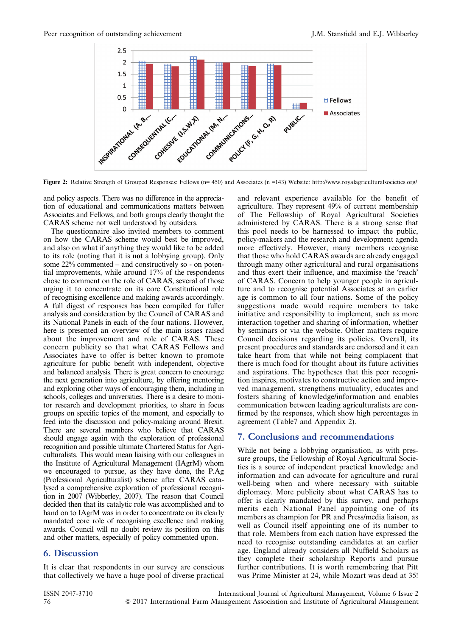<span id="page-5-0"></span>

Figure 2: Relative Strength of Grouped Responses: Fellows ( $n=450$ ) and Associates ( $n=143$ ) Website: http://www.royalagriculturalsocieties.org/

and policy aspects. There was no difference in the appreciation of educational and communications matters between Associates and Fellows, and both groups clearly thought the CARAS scheme not well understood by outsiders.

The questionnaire also invited members to comment on how the CARAS scheme would best be improved, and also on what if anything they would like to be added to its role (noting that it is not a lobbying group). Only some 22% commented – and constructively so - on potential improvements, while around 17% of the respondents chose to comment on the role of CARAS, several of those urging it to concentrate on its core Constitutional role of recognising excellence and making awards accordingly. A full digest of responses has been compiled for fuller analysis and consideration by the Council of CARAS and its National Panels in each of the four nations. However, here is presented an overview of the main issues raised about the improvement and role of CARAS. These concern publicity so that what CARAS Fellows and Associates have to offer is better known to promote agriculture for public benefit with independent, objective and balanced analysis. There is great concern to encourage the next generation into agriculture, by offering mentoring and exploring other ways of encouraging them, including in schools, colleges and universities. There is a desire to monitor research and development priorities, to share in focus groups on specific topics of the moment, and especially to feed into the discussion and policy-making around Brexit. There are several members who believe that CARAS should engage again with the exploration of professional recognition and possible ultimate Chartered Status for Agriculturalists. This would mean liaising with our colleagues in the Institute of Agricultural Management (IAgrM) whom we encouraged to pursue, as they have done, the P.Ag (Professional Agriculturalist) scheme after CARAS catalysed a comprehensive exploration of professional recognition in 2007 (Wibberley, 2007). The reason that Council decided then that its catalytic role was accomplished and to hand on to IAgrM was in order to concentrate on its clearly mandated core role of recognising excellence and making awards. Council will no doubt review its position on this and other matters, especially of policy commented upon.

# 6. Discussion

It is clear that respondents in our survey are conscious that collectively we have a huge pool of diverse practical

and relevant experience available for the benefit of agriculture. They represent 49% of current membership of The Fellowship of Royal Agricultural Societies administered by CARAS. There is a strong sense that this pool needs to be harnessed to impact the public, policy-makers and the research and development agenda more effectively. However, many members recognise that those who hold CARAS awards are already engaged through many other agricultural and rural organisations and thus exert their influence, and maximise the 'reach' of CARAS. Concern to help younger people in agriculture and to recognise potential Associates at an earlier age is common to all four nations. Some of the policy suggestions made would require members to take initiative and responsibility to implement, such as more interaction together and sharing of information, whether by seminars or via the website. Other matters require Council decisions regarding its policies. Overall, its present procedures and standards are endorsed and it can take heart from that while not being complacent that there is much food for thought about its future activities and aspirations. The hypotheses that this peer recognition inspires, motivates to constructive action and improved management, strengthens mutuality, educates and fosters sharing of knowledge/information and enables communication between leading agriculturalists are confirmed by the responses, which show high percentages in agreement (Table7 and Appendix 2).

# 7. Conclusions and recommendations

While not being a lobbying organisation, as with pressure groups, the Fellowship of Royal Agricultural Societies is a source of independent practical knowledge and information and can advocate for agriculture and rural well-being when and where necessary with suitable diplomacy. More publicity about what CARAS has to offer is clearly mandated by this survey, and perhaps merits each National Panel appointing one of its members as champion for PR and Press/media liaison, as well as Council itself appointing one of its number to that role. Members from each nation have expressed the need to recognise outstanding candidates at an earlier age. England already considers all Nuffield Scholars as they complete their scholarship Reports and pursue further contributions. It is worth remembering that Pitt was Prime Minister at 24, while Mozart was dead at 35!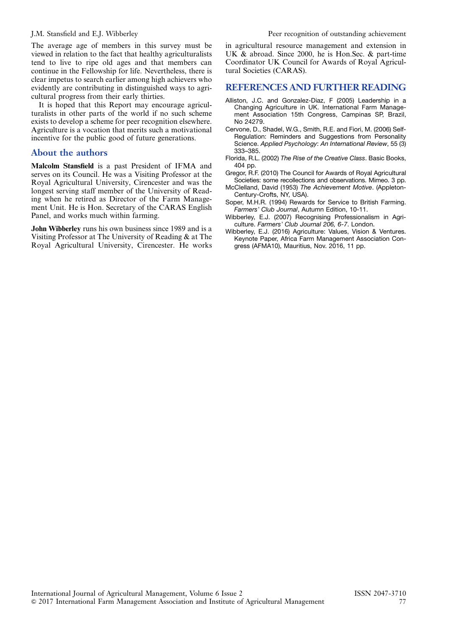The average age of members in this survey must be viewed in relation to the fact that healthy agriculturalists tend to live to ripe old ages and that members can continue in the Fellowship for life. Nevertheless, there is clear impetus to search earlier among high achievers who evidently are contributing in distinguished ways to agricultural progress from their early thirties.

It is hoped that this Report may encourage agriculturalists in other parts of the world if no such scheme exists to develop a scheme for peer recognition elsewhere. Agriculture is a vocation that merits such a motivational incentive for the public good of future generations.

# About the authors

Malcolm Stansfield is a past President of IFMA and serves on its Council. He was a Visiting Professor at the Royal Agricultural University, Cirencester and was the longest serving staff member of the University of Reading when he retired as Director of the Farm Management Unit. He is Hon. Secretary of the CARAS English Panel, and works much within farming.

John Wibberley runs his own business since 1989 and is a Visiting Professor at The University of Reading & at The Royal Agricultural University, Cirencester. He works in agricultural resource management and extension in UK & abroad. Since 2000, he is Hon.Sec. & part-time Coordinator UK Council for Awards of Royal Agricultural Societies (CARAS).

# REFERENCES AND FURTHER READING

- Alliston, J.C. and Gonzalez-Diaz, F (2005) Leadership in a Changing Agriculture in UK. International Farm Management Association 15th Congress, Campinas SP, Brazil, No 24279.
- Cervone, D., Shadel, W.G., Smith, R.E. and Fiori, M. (2006) Self-Regulation: Reminders and Suggestions from Personality Science. Applied Psychology: An International Review, 55 (3) 333–385.
- Florida, R.L. (2002) The Rise of the Creative Class. Basic Books, 404 pp.
- Gregor, R.F. (2010) The Council for Awards of Royal Agricultural Societies: some recollections and observations. Mimeo. 3 pp.
- McClelland, David (1953) The Achievement Motive. (Appleton-Century-Crofts, NY, USA).
- Soper, M.H.R. (1994) Rewards for Service to British Farming. Farmers' Club Journal, Autumn Edition, 10-11.
- Wibberley, E.J. (2007) Recognising Professionalism in Agriculture. Farmers' Club Journal 206, 6-7. London.
- Wibberley, E.J. (2016) Agriculture: Values, Vision & Ventures. Keynote Paper, Africa Farm Management Association Congress (AFMA10), Mauritius, Nov. 2016, 11 pp.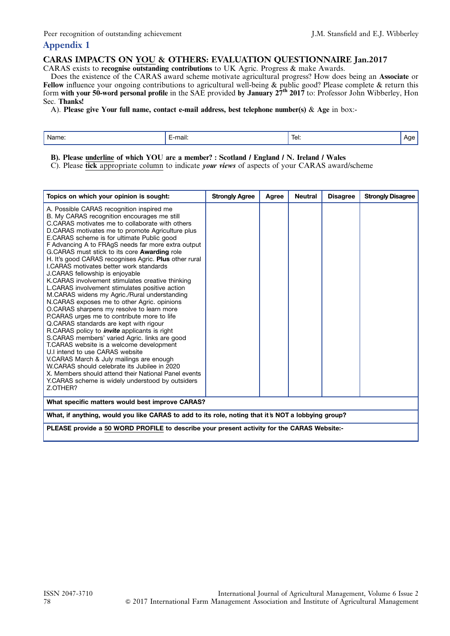# Appendix 1

# CARAS IMPACTS ON YOU & OTHERS: EVALUATION QUESTIONNAIRE Jan.2017

CARAS exists to recognise outstanding contributions to UK Agric. Progress & make Awards.

Does the existence of the CARAS award scheme motivate agricultural progress? How does being an Associate or Fellow influence your ongoing contributions to agricultural well-being & public good? Please complete & return this form with your 50-word personal profile in the SAE provided by January 27<sup>th</sup> 2017 to: Professor John Wibberley, Hon Sec. Thanks!

A). Please give Your full name, contact e-mail address, best telephone number(s) & Age in box:-

| <br>mail:<br>Name:<br>lel: |  |  |  |  |
|----------------------------|--|--|--|--|
|----------------------------|--|--|--|--|

B). Please underline of which YOU are a member? : Scotland / England / N. Ireland / Wales

C). Please tick appropriate column to indicate *your views* of aspects of your CARAS award/scheme

| Topics on which your opinion is sought:                                                                                                                                                                                                                                                                                                                                                                                                                                                                                                                                                                                                                                                                                                                                                                                                                                                                                                                                                                                                                                                                                                                                                                                                                        | <b>Strongly Agree</b> | Agree | <b>Neutral</b> | <b>Disagree</b> | <b>Strongly Disagree</b> |  |  |
|----------------------------------------------------------------------------------------------------------------------------------------------------------------------------------------------------------------------------------------------------------------------------------------------------------------------------------------------------------------------------------------------------------------------------------------------------------------------------------------------------------------------------------------------------------------------------------------------------------------------------------------------------------------------------------------------------------------------------------------------------------------------------------------------------------------------------------------------------------------------------------------------------------------------------------------------------------------------------------------------------------------------------------------------------------------------------------------------------------------------------------------------------------------------------------------------------------------------------------------------------------------|-----------------------|-------|----------------|-----------------|--------------------------|--|--|
| A. Possible CARAS recognition inspired me<br>B. My CARAS recognition encourages me still<br>C.CARAS motivates me to collaborate with others<br>D.CARAS motivates me to promote Agriculture plus<br>E.CARAS scheme is for ultimate Public good<br>F Advancing A to FRAgS needs far more extra output<br>G.CARAS must stick to its core <b>Awarding</b> role<br>H. It's good CARAS recognises Agric. Plus other rural<br><b>I.CARAS motivates better work standards</b><br>J.CARAS fellowship is enjoyable<br>K.CARAS involvement stimulates creative thinking<br>L.CARAS involvement stimulates positive action<br>M.CARAS widens my Agric./Rural understanding<br>N.CARAS exposes me to other Agric. opinions<br>O.CARAS sharpens my resolve to learn more<br>P.CARAS urges me to contribute more to life<br>Q.CARAS standards are kept with rigour<br>R.CARAS policy to <i>invite</i> applicants is right<br>S.CARAS members' varied Agric. links are good<br>T.CARAS website is a welcome development<br>U.I intend to use CARAS website<br>V.CARAS March & July mailings are enough<br>W.CARAS should celebrate its Jubilee in 2020<br>X. Members should attend their National Panel events<br>Y.CARAS scheme is widely understood by outsiders<br>Z.OTHER? |                       |       |                |                 |                          |  |  |
| What specific matters would best improve CARAS?                                                                                                                                                                                                                                                                                                                                                                                                                                                                                                                                                                                                                                                                                                                                                                                                                                                                                                                                                                                                                                                                                                                                                                                                                |                       |       |                |                 |                          |  |  |
| What, if anything, would you like CARAS to add to its role, noting that it's NOT a lobbying group?                                                                                                                                                                                                                                                                                                                                                                                                                                                                                                                                                                                                                                                                                                                                                                                                                                                                                                                                                                                                                                                                                                                                                             |                       |       |                |                 |                          |  |  |
| PLEASE provide a 50 WORD PROFILE to describe your present activity for the CARAS Website:-                                                                                                                                                                                                                                                                                                                                                                                                                                                                                                                                                                                                                                                                                                                                                                                                                                                                                                                                                                                                                                                                                                                                                                     |                       |       |                |                 |                          |  |  |